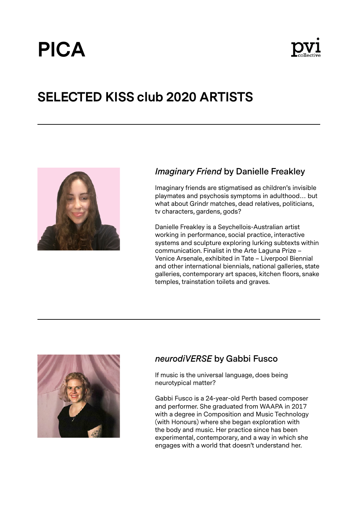# **PICA**



# **SELECTED KISS club 2020 ARTISTS**



## *Imaginary Friend* **by Danielle Freakley**

Imaginary friends are stigmatised as children's invisible playmates and psychosis symptoms in adulthood… but what about Grindr matches, dead relatives, politicians, tv characters, gardens, gods?

Danielle Freakley is a Seychellois-Australian artist working in performance, social practice, interactive systems and sculpture exploring lurking subtexts within communication. Finalist in the Arte Laguna Prize – Venice Arsenale, exhibited in Tate – Liverpool Biennial and other international biennials, national galleries, state galleries, contemporary art spaces, kitchen floors, snake temples, trainstation toilets and graves.



#### *neurodiVERSE* **by Gabbi Fusco**

If music is the universal language, does being neurotypical matter?

Gabbi Fusco is a 24-year-old Perth based composer and performer. She graduated from WAAPA in 2017 with a degree in Composition and Music Technology (with Honours) where she began exploration with the body and music. Her practice since has been experimental, contemporary, and a way in which she engages with a world that doesn't understand her.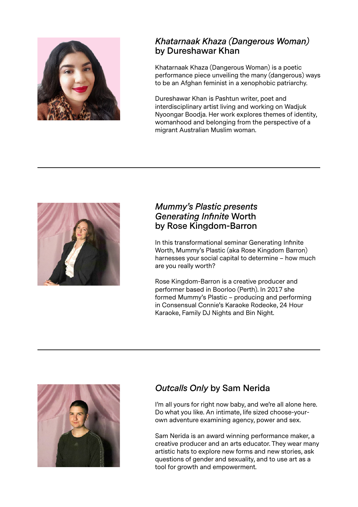

#### *Khatarnaak Khaza (Dangerous Woman)* **by Dureshawar Khan**

Khatarnaak Khaza (Dangerous Woman) is a poetic performance piece unveiling the many (dangerous) ways to be an Afghan feminist in a xenophobic patriarchy.

Dureshawar Khan is Pashtun writer, poet and interdisciplinary artist living and working on Wadjuk Nyoongar Boodja. Her work explores themes of identity, womanhood and belonging from the perspective of a migrant Australian Muslim woman.



#### *Mummy's Plastic presents Generating Infinite* **Worth by Rose Kingdom-Barron**

In this transformational seminar Generating Infinite Worth, Mummy's Plastic (aka Rose Kingdom Barron) harnesses your social capital to determine – how much are you really worth?

Rose Kingdom-Barron is a creative producer and performer based in Boorloo (Perth). In 2017 she formed Mummy's Plastic – producing and performing in Consensual Connie's Karaoke Rodeoke, 24 Hour Karaoke, Family DJ Nights and Bin Night.



# *Outcalls Only* **by Sam Nerida**

I'm all yours for right now baby, and we're all alone here. Do what you like. An intimate, life sized choose-yourown adventure examining agency, power and sex.

Sam Nerida is an award winning performance maker, a creative producer and an arts educator. They wear many artistic hats to explore new forms and new stories, ask questions of gender and sexuality, and to use art as a tool for growth and empowerment.